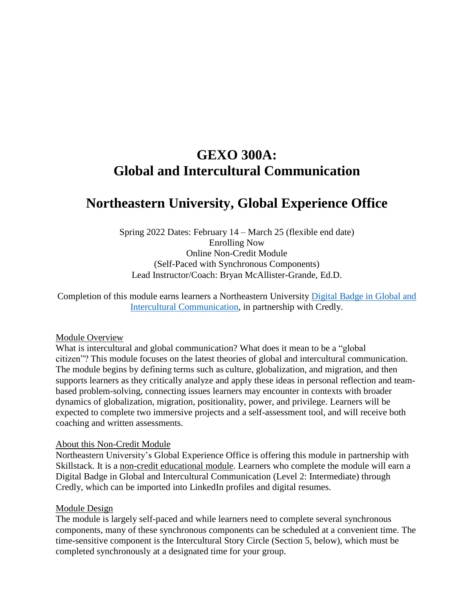# **GEXO 300A: Global and Intercultural Communication**

# **Northeastern University, Global Experience Office**

Spring 2022 Dates: February 14 – March 25 (flexible end date) Enrolling Now Online Non-Credit Module (Self-Paced with Synchronous Components) Lead Instructor/Coach: Bryan McAllister-Grande, Ed.D.

Completion of this module earns learners a Northeastern University [Digital](https://www.credly.com/org/northeastern-university/badge/global-and-intercultural-communication) Badge in Global and Intercultural [Communication,](https://www.credly.com/org/northeastern-university/badge/global-and-intercultural-communication) in partnership with Credly.

### Module Overview

What is intercultural and global communication? What does it mean to be a "global citizen"? This module focuses on the latest theories of global and intercultural communication. The module begins by defining terms such as culture, globalization, and migration, and then supports learners as they critically analyze and apply these ideas in personal reflection and teambased problem-solving, connecting issues learners may encounter in contexts with broader dynamics of globalization, migration, positionality, power, and privilege. Learners will be expected to complete two immersive projects and a self-assessment tool, and will receive both coaching and written assessments.

#### About this Non-Credit Module

Northeastern University's Global Experience Office is offering this module in partnership with Skillstack. It is a non-credit educational module. Learners who complete the module will earn a Digital Badge in Global and Intercultural Communication (Level 2: Intermediate) through Credly, which can be imported into LinkedIn profiles and digital resumes.

#### Module Design

The module is largely self-paced and while learners need to complete several synchronous components, many of these synchronous components can be scheduled at a convenient time. The time-sensitive component is the Intercultural Story Circle (Section 5, below), which must be completed synchronously at a designated time for your group.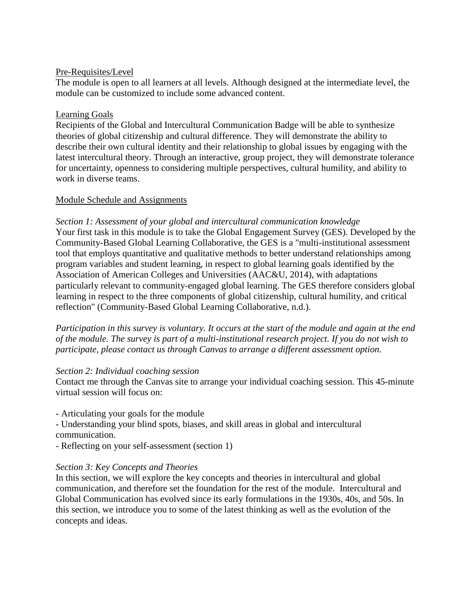## Pre-Requisites/Level

The module is open to all learners at all levels. Although designed at the intermediate level, the module can be customized to include some advanced content.

## Learning Goals

Recipients of the Global and Intercultural Communication Badge will be able to synthesize theories of global citizenship and cultural difference. They will demonstrate the ability to describe their own cultural identity and their relationship to global issues by engaging with the latest intercultural theory. Through an interactive, group project, they will demonstrate tolerance for uncertainty, openness to considering multiple perspectives, cultural humility, and ability to work in diverse teams.

## Module Schedule and Assignments

*Section 1: Assessment of your global and intercultural communication knowledge* Your first task in this module is to take the Global Engagement Survey (GES). Developed by the Community-Based Global Learning Collaborative, the GES is a "multi-institutional assessment tool that employs quantitative and qualitative methods to better understand relationships among program variables and student learning, in respect to global learning goals identified by the Association of American Colleges and Universities (AAC&U, 2014), with adaptations particularly relevant to community-engaged global learning. The GES therefore considers global learning in respect to the three components of global citizenship, cultural humility, and critical reflection" (Community-Based Global Learning Collaborative, n.d.).

Participation in this survey is voluntary. It occurs at the start of the module and again at the end *of the module. The survey is part of a multi-institutional research project. If you do not wish to participate, please contact us through Canvas to arrange a different assessment option.*

# *Section 2: Individual coaching session*

Contact me through the Canvas site to arrange your individual coaching session. This 45-minute virtual session will focus on:

- Articulating your goals for the module

- Understanding your blind spots, biases, and skill areas in global and intercultural communication.

- Reflecting on your self-assessment (section 1)

# *Section 3: Key Concepts and Theories*

In this section, we will explore the key concepts and theories in intercultural and global communication, and therefore set the foundation for the rest of the module. Intercultural and Global Communication has evolved since its early formulations in the 1930s, 40s, and 50s. In this section, we introduce you to some of the latest thinking as well as the evolution of the concepts and ideas.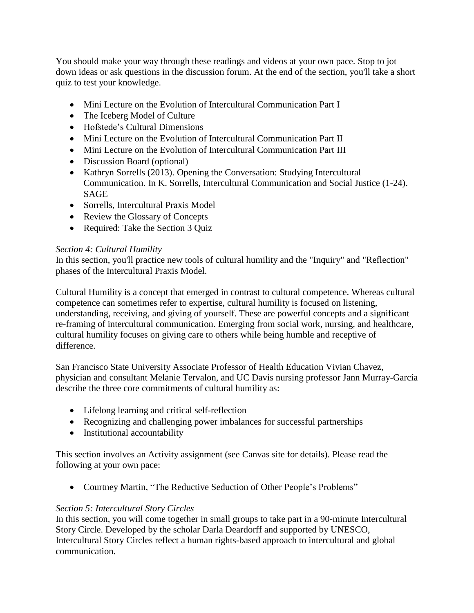You should make your way through these readings and videos at your own pace. Stop to jot down ideas or ask questions in the discussion forum. At the end of the section, you'll take a short quiz to test your knowledge.

- Mini Lecture on the Evolution of Intercultural Communication Part I
- The Iceberg Model of Culture
- Hofstede's Cultural Dimensions
- Mini Lecture on the Evolution of Intercultural Communication Part II
- Mini Lecture on the Evolution of Intercultural Communication Part III
- Discussion Board (optional)
- Kathryn Sorrells (2013). Opening the Conversation: Studying Intercultural Communication. In K. Sorrells, Intercultural Communication and Social Justice (1-24). SAGE
- Sorrells, Intercultural Praxis Model
- Review the Glossary of Concepts
- Required: Take the Section 3 Quiz

## *Section 4: Cultural Humility*

In this section, you'll practice new tools of cultural humility and the "Inquiry" and "Reflection" phases of the Intercultural Praxis Model.

Cultural Humility is a concept that emerged in contrast to cultural competence. Whereas cultural competence can sometimes refer to expertise, cultural humility is focused on listening, understanding, receiving, and giving of yourself. These are powerful concepts and a significant re-framing of intercultural communication. Emerging from social work, nursing, and healthcare, cultural humility focuses on giving care to others while being humble and receptive of difference.

San Francisco State University Associate Professor of Health Education Vivian Chavez, physician and consultant Melanie Tervalon, and UC Davis nursing professor Jann Murray-García describe the three core commitments of cultural humility as:

- Lifelong learning and critical self-reflection
- Recognizing and challenging power imbalances for successful partnerships
- Institutional accountability

This section involves an Activity assignment (see Canvas site for details). Please read the following at your own pace:

Courtney Martin, "The Reductive Seduction of Other People's Problems"

# *Section 5: Intercultural Story Circles*

In this section, you will come together in small groups to take part in a 90-minute Intercultural Story Circle. Developed by the scholar Darla Deardorff and supported by UNESCO, Intercultural Story Circles reflect a human rights-based approach to intercultural and global communication.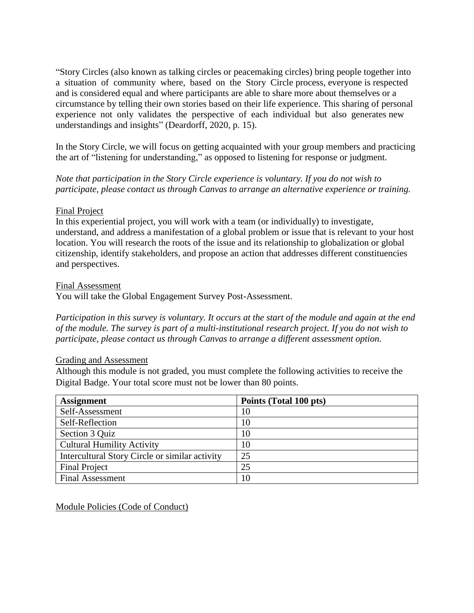"Story Circles (also known as talking circles or peacemaking circles) bring people together into a situation of community where, based on the Story Circle process, everyone is respected and is considered equal and where participants are able to share more about themselves or a circumstance by telling their own stories based on their life experience. This sharing of personal experience not only validates the perspective of each individual but also generates new understandings and insights" (Deardorff, 2020, p. 15).

In the Story Circle, we will focus on getting acquainted with your group members and practicing the art of "listening for understanding," as opposed to listening for response or judgment.

*Note that participation in the Story Circle experience is voluntary. If you do not wish to participate, please contact us through Canvas to arrange an alternative experience or training.*

### Final Project

In this experiential project, you will work with a team (or individually) to investigate, understand, and address a manifestation of a global problem or issue that is relevant to your host location. You will research the roots of the issue and its relationship to globalization or global citizenship, identify stakeholders, and propose an action that addresses different constituencies and perspectives.

#### Final Assessment

You will take the Global Engagement Survey Post-Assessment.

Participation in this survey is voluntary. It occurs at the start of the module and again at the end *of the module. The survey is part of a multi-institutional research project. If you do not wish to participate, please contact us through Canvas to arrange a different assessment option.*

#### Grading and Assessment

Although this module is not graded, you must complete the following activities to receive the Digital Badge. Your total score must not be lower than 80 points.

| <b>Assignment</b>                              | Points (Total 100 pts) |
|------------------------------------------------|------------------------|
| Self-Assessment                                | 10                     |
| Self-Reflection                                | 10                     |
| Section 3 Quiz                                 | 10                     |
| <b>Cultural Humility Activity</b>              | 10                     |
| Intercultural Story Circle or similar activity | 25                     |
| <b>Final Project</b>                           | 25                     |
| Final Assessment                               | 10                     |

Module Policies (Code of Conduct)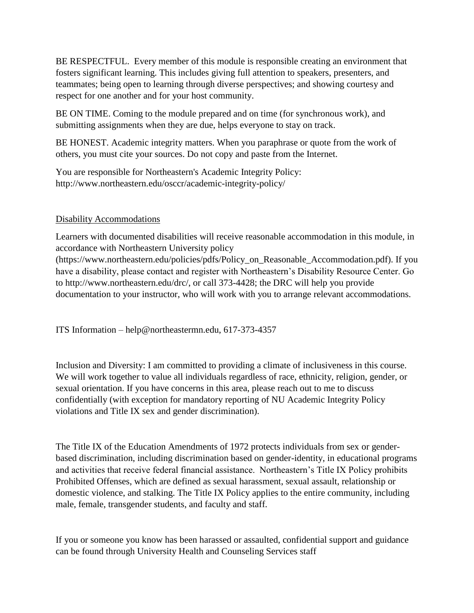BE RESPECTFUL. Every member of this module is responsible creating an environment that fosters significant learning. This includes giving full attention to speakers, presenters, and teammates; being open to learning through diverse perspectives; and showing courtesy and respect for one another and for your host community.

BE ON TIME. Coming to the module prepared and on time (for synchronous work), and submitting assignments when they are due, helps everyone to stay on track.

BE HONEST. Academic integrity matters. When you paraphrase or quote from the work of others, you must cite your sources. Do not copy and paste from the Internet.

You are responsible for Northeastern's Academic Integrity Policy: http://www.northeastern.edu/osccr/academic-integrity-policy/

# Disability Accommodations

Learners with documented disabilities will receive reasonable accommodation in this module, in accordance with Northeastern University policy

(https://www.northeastern.edu/policies/pdfs/Policy\_on\_Reasonable\_Accommodation.pdf). If you have a disability, please contact and register with Northeastern's Disability Resource Center. Go to http://www.northeastern.edu/drc/, or call 373-4428; the DRC will help you provide documentation to your instructor, who will work with you to arrange relevant accommodations.

ITS Information – help@northeastermn.edu, 617-373-4357

Inclusion and Diversity: I am committed to providing a climate of inclusiveness in this course. We will work together to value all individuals regardless of race, ethnicity, religion, gender, or sexual orientation. If you have concerns in this area, please reach out to me to discuss confidentially (with exception for mandatory reporting of NU Academic Integrity Policy violations and Title IX sex and gender discrimination).

The Title IX of the Education Amendments of 1972 protects individuals from sex or genderbased discrimination, including discrimination based on gender-identity, in educational programs and activities that receive federal financial assistance. Northeastern's Title IX Policy prohibits Prohibited Offenses, which are defined as sexual harassment, sexual assault, relationship or domestic violence, and stalking. The Title IX Policy applies to the entire community, including male, female, transgender students, and faculty and staff.

If you or someone you know has been harassed or assaulted, confidential support and guidance can be found through University Health and Counseling Services staff